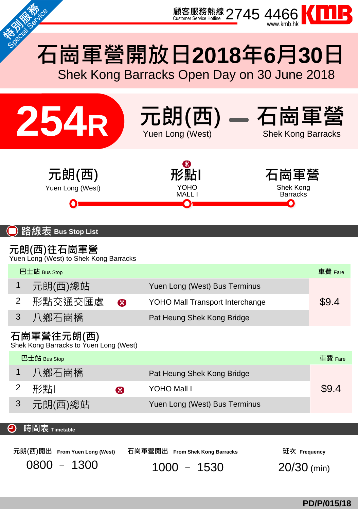

## Service Library 石崗軍營開放日**2018**年**6**月**30**日





മ 時間表 **Timetable**

特別開発

| 元朗(西)開出 From Yuen Long (West) | 石崗軍營開出 From Shek Kong Barracks | 班次 Frequency  |
|-------------------------------|--------------------------------|---------------|
| $0800 - 1300$                 | 1000 - 1530                    | $20/30$ (min) |

**PD/P/015/18**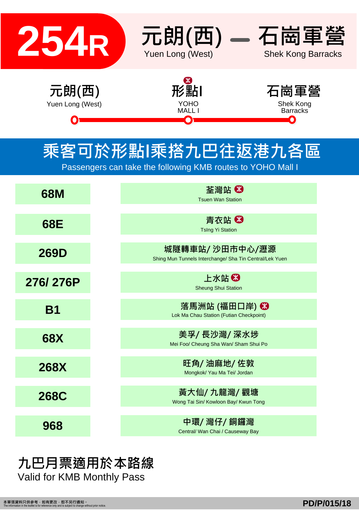

Yuen Long (West)

Ω







### 乘客可於形點I乘搭九巴往返港九各區

Passengers can take the following KMB routes to YOHO Mall I

| 68M         | 荃灣站 63<br><b>Tsuen Wan Station</b>                                         |  |
|-------------|----------------------------------------------------------------------------|--|
| 68E         | 青衣站 3<br><b>TsIng Yi Station</b>                                           |  |
| <b>269D</b> | 城隧轉車站/ 沙田市中心/瀝源<br>Shing Mun Tunnels Interchange/ Sha Tin Central/Lek Yuen |  |
| 276/276P    | 上水站 3<br><b>Sheung Shui Station</b>                                        |  |
| <b>B1</b>   | 落馬洲站 (福田口岸) ❸<br>Lok Ma Chau Station (Futian Checkpoint)                   |  |
| <b>68X</b>  | 美孚/ 長沙灣/ 深水埗<br>Mei Foo/ Cheung Sha Wan/ Sham Shui Po                      |  |
| <b>268X</b> | 旺角/油麻地/佐敦<br>Mongkok/ Yau Ma Tei/ Jordan                                   |  |
| <b>268C</b> | 黃大仙/九龍灣/觀塘<br>Wong Tai Sin/ Kowloon Bay/ Kwun Tong                         |  |
| 968         | 中環/ 灣仔/ 銅鑼灣<br>Central/ Wan Chai / Causeway Bay                            |  |

#### 九巴月票適用於本路線 Valid for KMB Monthly Pass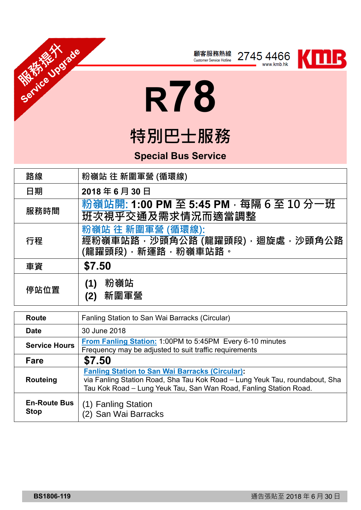







# **R78**

### 特別巴士服務

**Special Bus Service**

| 路線   | 粉嶺站 往 新圍軍營 (循環線)                                                                 |
|------|----------------------------------------------------------------------------------|
| 日期   | 2018年6月30日                                                                       |
| 服務時間 | 粉嶺站開: 1:00 PM 至 5:45 PM · 每隔 6 至 10 分一班<br>班次視乎交通及需求情況而適當調整                      |
| 行程   | 粉嶺站 往 新圍軍營 (循環線):<br><b>經粉嶺車站路,沙頭角公路 (龍躍頭段), 迴旋處, 沙頭角公路</b><br>(龍躍頭段),新運路,粉嶺車站路。 |
| 車資   | \$7.50                                                                           |
| 停站位置 | 粉嶺站<br>(1)<br>新圍軍營<br>2)                                                         |

| Route                              | Fanling Station to San Wai Barracks (Circular)                                                                                                                                                             |  |
|------------------------------------|------------------------------------------------------------------------------------------------------------------------------------------------------------------------------------------------------------|--|
| <b>Date</b>                        | 30 June 2018                                                                                                                                                                                               |  |
| <b>Service Hours</b>               | From Fanling Station: 1:00PM to 5:45PM Every 6-10 minutes<br>Frequency may be adjusted to suit traffic requirements                                                                                        |  |
| Fare                               | \$7.50                                                                                                                                                                                                     |  |
| Routeing                           | <b>Fanling Station to San Wai Barracks (Circular):</b><br>via Fanling Station Road, Sha Tau Kok Road – Lung Yeuk Tau, roundabout, Sha<br>Tau Kok Road - Lung Yeuk Tau, San Wan Road, Fanling Station Road. |  |
| <b>En-Route Bus</b><br><b>Stop</b> | (1) Fanling Station<br>(2) San Wai Barracks                                                                                                                                                                |  |